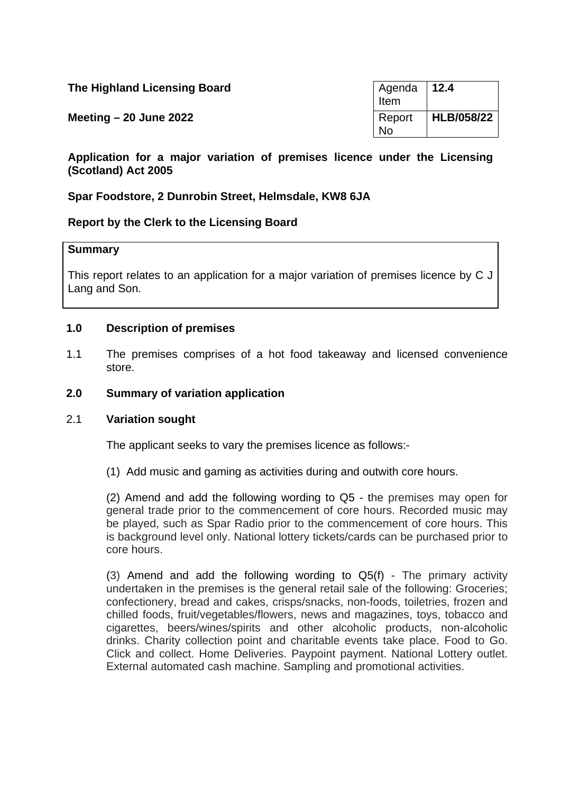| The Highland Licensing Board | $\sqrt{4}$ Agenda   12.4<br>Item |            |
|------------------------------|----------------------------------|------------|
| Meeting $-20$ June 2022      | Report<br><b>No</b>              | HLB/058/22 |

**Application for a major variation of premises licence under the Licensing (Scotland) Act 2005**

**Spar Foodstore, 2 Dunrobin Street, Helmsdale, KW8 6JA**

# **Report by the Clerk to the Licensing Board**

#### **Summary**

This report relates to an application for a major variation of premises licence by C J Lang and Son.

#### **1.0 Description of premises**

1.1 The premises comprises of a hot food takeaway and licensed convenience store.

### **2.0 Summary of variation application**

#### 2.1 **Variation sought**

The applicant seeks to vary the premises licence as follows:-

(1) Add music and gaming as activities during and outwith core hours.

(2) Amend and add the following wording to Q5 - the premises may open for general trade prior to the commencement of core hours. Recorded music may be played, such as Spar Radio prior to the commencement of core hours. This is background level only. National lottery tickets/cards can be purchased prior to core hours.

(3) Amend and add the following wording to Q5(f) - The primary activity undertaken in the premises is the general retail sale of the following: Groceries; confectionery, bread and cakes, crisps/snacks, non-foods, toiletries, frozen and chilled foods, fruit/vegetables/flowers, news and magazines, toys, tobacco and cigarettes, beers/wines/spirits and other alcoholic products, non-alcoholic drinks. Charity collection point and charitable events take place. Food to Go. Click and collect. Home Deliveries. Paypoint payment. National Lottery outlet. External automated cash machine. Sampling and promotional activities.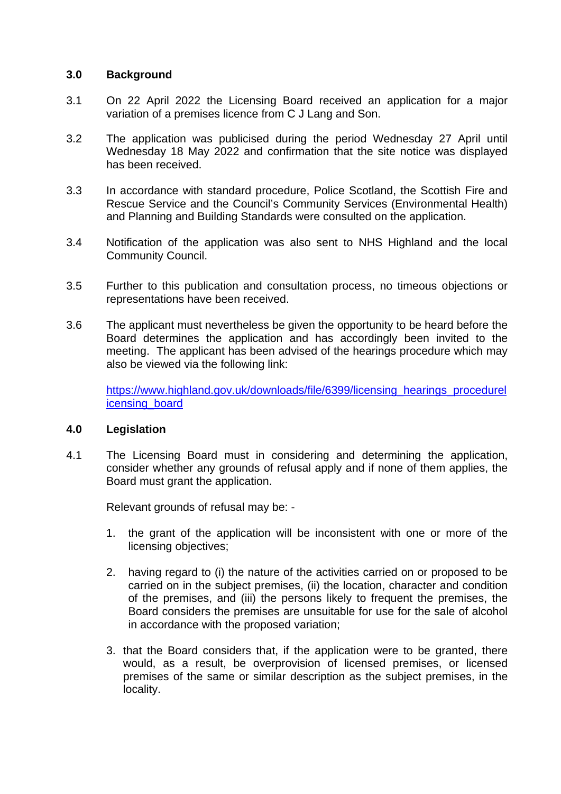# **3.0 Background**

- 3.1 On 22 April 2022 the Licensing Board received an application for a major variation of a premises licence from C J Lang and Son.
- 3.2 The application was publicised during the period Wednesday 27 April until Wednesday 18 May 2022 and confirmation that the site notice was displayed has been received.
- 3.3 In accordance with standard procedure, Police Scotland, the Scottish Fire and Rescue Service and the Council's Community Services (Environmental Health) and Planning and Building Standards were consulted on the application.
- 3.4 Notification of the application was also sent to NHS Highland and the local Community Council.
- 3.5 Further to this publication and consultation process, no timeous objections or representations have been received.
- 3.6 The applicant must nevertheless be given the opportunity to be heard before the Board determines the application and has accordingly been invited to the meeting. The applicant has been advised of the hearings procedure which may also be viewed via the following link:

[https://www.highland.gov.uk/downloads/file/6399/licensing\\_hearings\\_procedurel](https://www.highland.gov.uk/downloads/file/6399/licensing_hearings_procedurelicensing_board) [icensing\\_board](https://www.highland.gov.uk/downloads/file/6399/licensing_hearings_procedurelicensing_board)

# **4.0 Legislation**

4.1 The Licensing Board must in considering and determining the application, consider whether any grounds of refusal apply and if none of them applies, the Board must grant the application.

Relevant grounds of refusal may be: -

- 1. the grant of the application will be inconsistent with one or more of the licensing objectives;
- 2. having regard to (i) the nature of the activities carried on or proposed to be carried on in the subject premises, (ii) the location, character and condition of the premises, and (iii) the persons likely to frequent the premises, the Board considers the premises are unsuitable for use for the sale of alcohol in accordance with the proposed variation;
- 3. that the Board considers that, if the application were to be granted, there would, as a result, be overprovision of licensed premises, or licensed premises of the same or similar description as the subject premises, in the locality.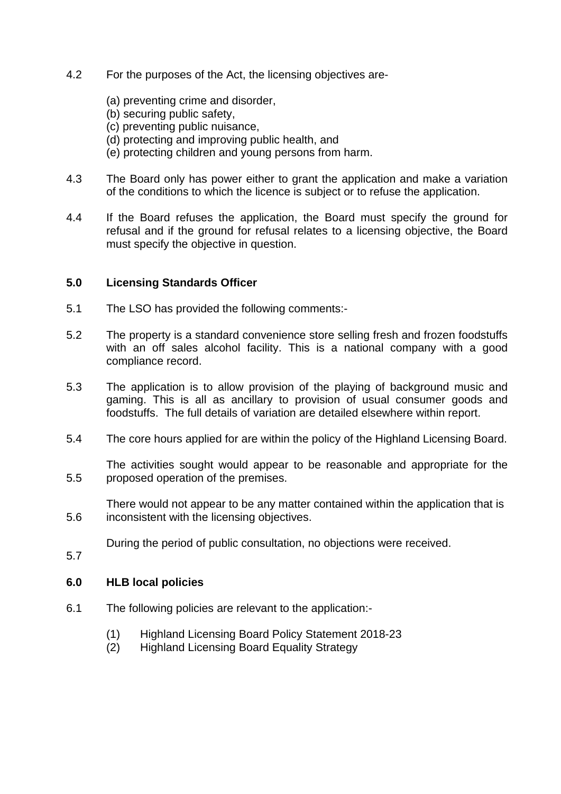- 4.2 For the purposes of the Act, the licensing objectives are-
	- (a) preventing crime and disorder,
	- (b) securing public safety,
	- (c) preventing public nuisance,
	- (d) protecting and improving public health, and
	- (e) protecting children and young persons from harm.
- 4.3 The Board only has power either to grant the application and make a variation of the conditions to which the licence is subject or to refuse the application.
- 4.4 If the Board refuses the application, the Board must specify the ground for refusal and if the ground for refusal relates to a licensing objective, the Board must specify the objective in question.

#### **5.0 Licensing Standards Officer**

- 5.1 The LSO has provided the following comments:-
- 5.2 The property is a standard convenience store selling fresh and frozen foodstuffs with an off sales alcohol facility. This is a national company with a good compliance record.
- 5.3 The application is to allow provision of the playing of background music and gaming. This is all as ancillary to provision of usual consumer goods and foodstuffs. The full details of variation are detailed elsewhere within report.
- 5.4 The core hours applied for are within the policy of the Highland Licensing Board.

5.5 The activities sought would appear to be reasonable and appropriate for the proposed operation of the premises.

5.6 There would not appear to be any matter contained within the application that is inconsistent with the licensing objectives.

During the period of public consultation, no objections were received.

5.7

# **6.0 HLB local policies**

- 6.1 The following policies are relevant to the application:-
	- (1) Highland Licensing Board Policy Statement 2018-23
	- (2) Highland Licensing Board Equality Strategy